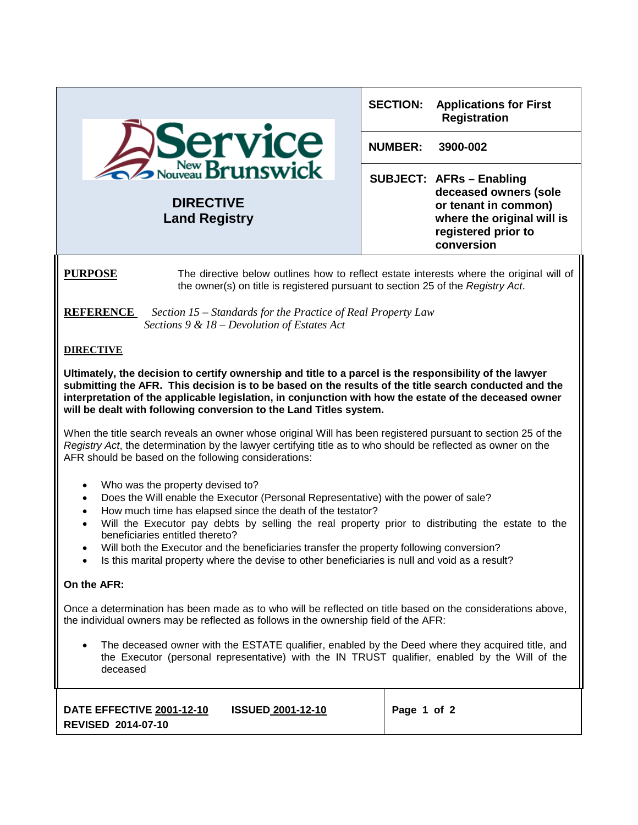|                                                                                                                                                                                                                                                                                                                                                                                                                                                                                                                                                                                | <b>SECTION:</b><br><b>Applications for First</b><br><b>Registration</b>                                                                             |  |  |  |
|--------------------------------------------------------------------------------------------------------------------------------------------------------------------------------------------------------------------------------------------------------------------------------------------------------------------------------------------------------------------------------------------------------------------------------------------------------------------------------------------------------------------------------------------------------------------------------|-----------------------------------------------------------------------------------------------------------------------------------------------------|--|--|--|
| Service                                                                                                                                                                                                                                                                                                                                                                                                                                                                                                                                                                        | <b>NUMBER:</b><br>3900-002                                                                                                                          |  |  |  |
| <b>DIRECTIVE</b><br><b>Land Registry</b>                                                                                                                                                                                                                                                                                                                                                                                                                                                                                                                                       | <b>SUBJECT: AFRs - Enabling</b><br>deceased owners (sole<br>or tenant in common)<br>where the original will is<br>registered prior to<br>conversion |  |  |  |
| <b>PURPOSE</b><br>The directive below outlines how to reflect estate interests where the original will of<br>the owner(s) on title is registered pursuant to section 25 of the Registry Act.                                                                                                                                                                                                                                                                                                                                                                                   |                                                                                                                                                     |  |  |  |
| <b>REFERENCE</b><br>Section 15 – Standards for the Practice of Real Property Law<br>Sections $9 & 18 - Devolution$ of Estates Act                                                                                                                                                                                                                                                                                                                                                                                                                                              |                                                                                                                                                     |  |  |  |
| <b>DIRECTIVE</b>                                                                                                                                                                                                                                                                                                                                                                                                                                                                                                                                                               |                                                                                                                                                     |  |  |  |
| Ultimately, the decision to certify ownership and title to a parcel is the responsibility of the lawyer<br>submitting the AFR. This decision is to be based on the results of the title search conducted and the<br>interpretation of the applicable legislation, in conjunction with how the estate of the deceased owner<br>will be dealt with following conversion to the Land Titles system.                                                                                                                                                                               |                                                                                                                                                     |  |  |  |
| When the title search reveals an owner whose original Will has been registered pursuant to section 25 of the<br>Registry Act, the determination by the lawyer certifying title as to who should be reflected as owner on the<br>AFR should be based on the following considerations:                                                                                                                                                                                                                                                                                           |                                                                                                                                                     |  |  |  |
| Who was the property devised to?<br>$\bullet$<br>Does the Will enable the Executor (Personal Representative) with the power of sale?<br>$\bullet$<br>How much time has elapsed since the death of the testator?<br>$\bullet$<br>Will the Executor pay debts by selling the real property prior to distributing the estate to the<br>$\bullet$<br>beneficiaries entitled thereto?<br>Will both the Executor and the beneficiaries transfer the property following conversion?<br>Is this marital property where the devise to other beneficiaries is null and void as a result? |                                                                                                                                                     |  |  |  |

## **On the AFR:**

Once a determination has been made as to who will be reflected on title based on the considerations above, the individual owners may be reflected as follows in the ownership field of the AFR:

• The deceased owner with the ESTATE qualifier, enabled by the Deed where they acquired title, and the Executor (personal representative) with the IN TRUST qualifier, enabled by the Will of the deceased

| DATE EFFECTIVE 2001-12-10 | <b>ISSUED 2001-12-10</b> | Page 1 of 2 |
|---------------------------|--------------------------|-------------|
| <b>REVISED 2014-07-10</b> |                          |             |